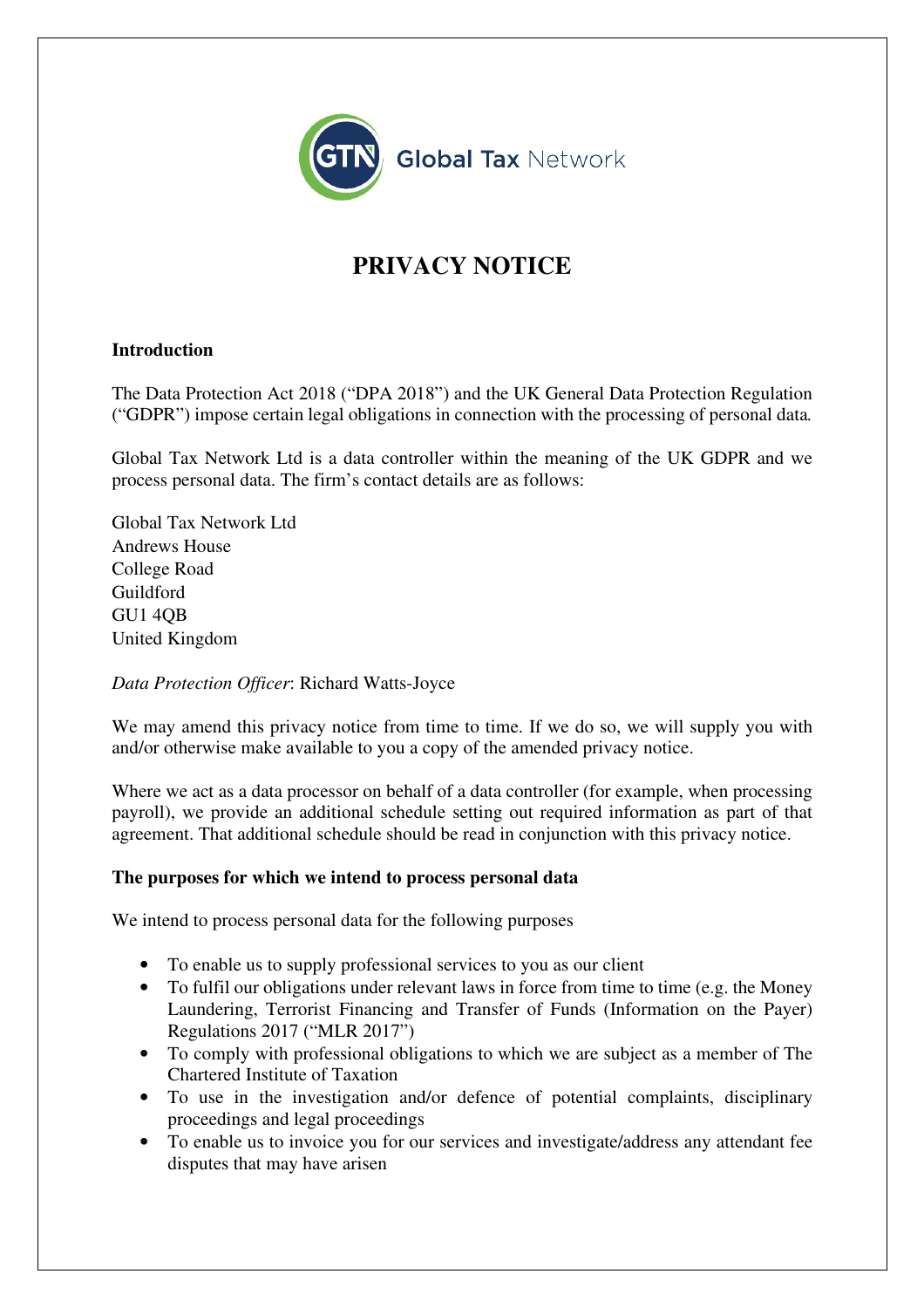

# **PRIVACY NOTICE**

## **Introduction**

The Data Protection Act 2018 ("DPA 2018") and the UK General Data Protection Regulation ("GDPR") impose certain legal obligations in connection with the processing of personal data*.* 

Global Tax Network Ltd is a data controller within the meaning of the UK GDPR and we process personal data. The firm's contact details are as follows:

Global Tax Network Ltd Andrews House College Road Guildford GU1 4QB United Kingdom

*Data Protection Officer*: Richard Watts-Joyce

We may amend this privacy notice from time to time. If we do so, we will supply you with and/or otherwise make available to you a copy of the amended privacy notice.

Where we act as a data processor on behalf of a data controller (for example, when processing payroll), we provide an additional schedule setting out required information as part of that agreement. That additional schedule should be read in conjunction with this privacy notice.

### **The purposes for which we intend to process personal data**

We intend to process personal data for the following purposes

- To enable us to supply professional services to you as our client
- To fulfil our obligations under relevant laws in force from time to time (e.g. the Money Laundering, Terrorist Financing and Transfer of Funds (Information on the Payer) Regulations 2017 ("MLR 2017")
- To comply with professional obligations to which we are subject as a member of The Chartered Institute of Taxation
- To use in the investigation and/or defence of potential complaints, disciplinary proceedings and legal proceedings
- To enable us to invoice you for our services and investigate/address any attendant fee disputes that may have arisen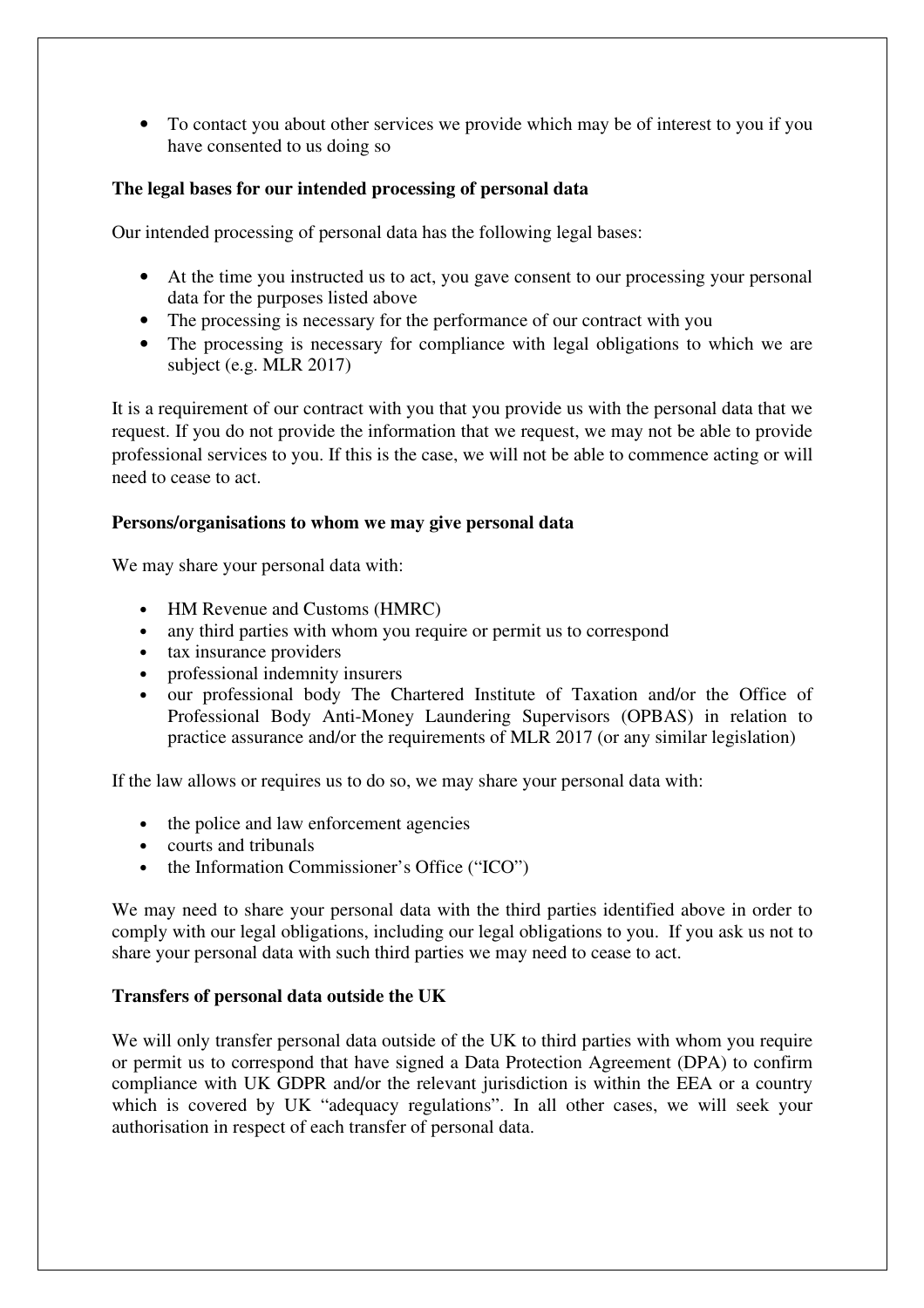• To contact you about other services we provide which may be of interest to you if you have consented to us doing so

# **The legal bases for our intended processing of personal data**

Our intended processing of personal data has the following legal bases:

- At the time you instructed us to act, you gave consent to our processing your personal data for the purposes listed above
- The processing is necessary for the performance of our contract with you
- The processing is necessary for compliance with legal obligations to which we are subject (e.g. MLR 2017)

It is a requirement of our contract with you that you provide us with the personal data that we request. If you do not provide the information that we request, we may not be able to provide professional services to you. If this is the case, we will not be able to commence acting or will need to cease to act.

### **Persons/organisations to whom we may give personal data**

We may share your personal data with:

- HM Revenue and Customs (HMRC)
- any third parties with whom you require or permit us to correspond
- tax insurance providers
- professional indemnity insurers
- our professional body The Chartered Institute of Taxation and/or the Office of Professional Body Anti-Money Laundering Supervisors (OPBAS) in relation to practice assurance and/or the requirements of MLR 2017 (or any similar legislation)

If the law allows or requires us to do so, we may share your personal data with:

- the police and law enforcement agencies
- courts and tribunals
- the Information Commissioner's Office ("ICO")

We may need to share your personal data with the third parties identified above in order to comply with our legal obligations, including our legal obligations to you. If you ask us not to share your personal data with such third parties we may need to cease to act.

### **Transfers of personal data outside the UK**

We will only transfer personal data outside of the UK to third parties with whom you require or permit us to correspond that have signed a Data Protection Agreement (DPA) to confirm compliance with UK GDPR and/or the relevant jurisdiction is within the EEA or a country which is covered by UK "adequacy regulations". In all other cases, we will seek your authorisation in respect of each transfer of personal data.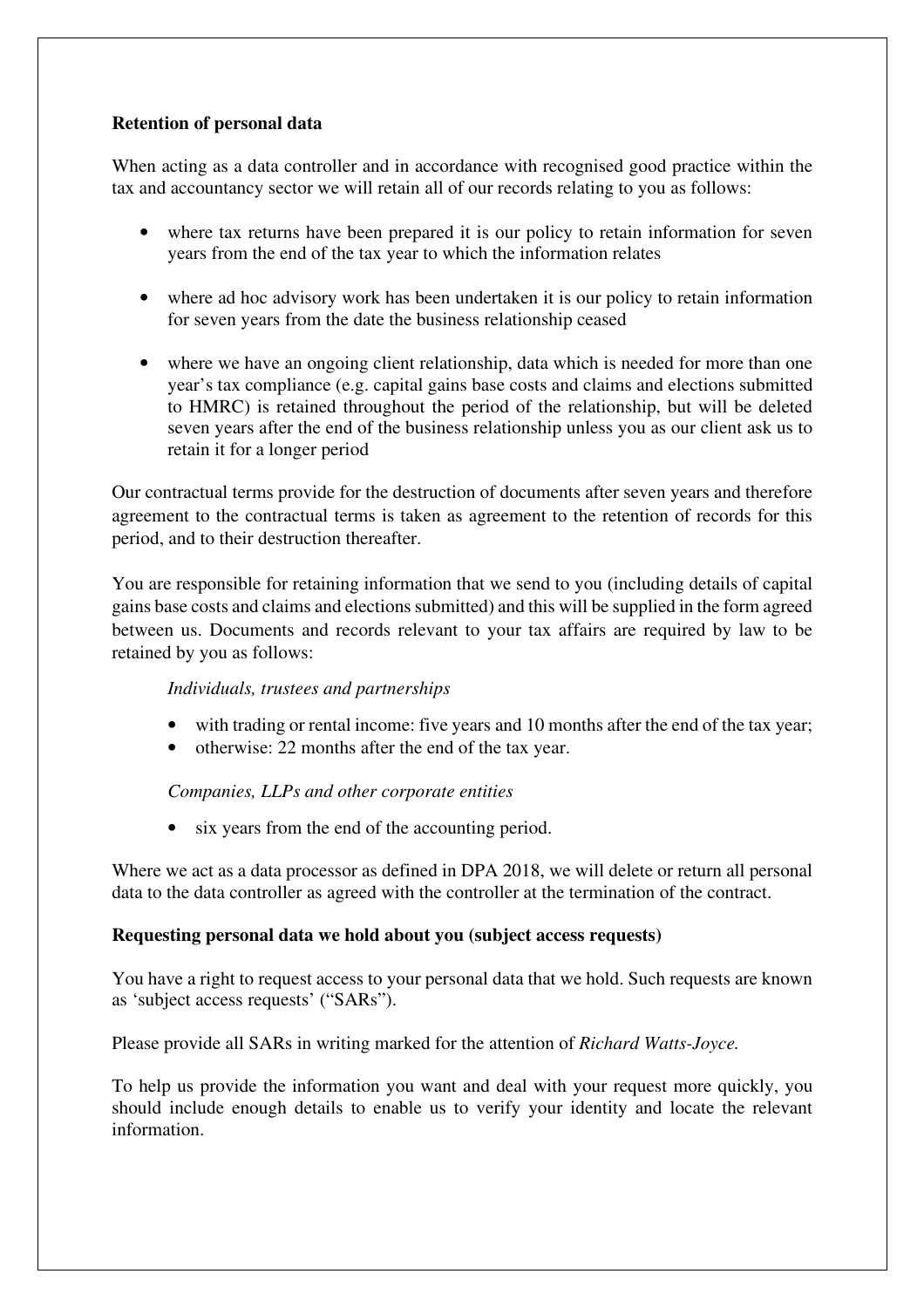# **Retention of personal data**

When acting as a data controller and in accordance with recognised good practice within the tax and accountancy sector we will retain all of our records relating to you as follows:

- where tax returns have been prepared it is our policy to retain information for seven years from the end of the tax year to which the information relates
- where ad hoc advisory work has been undertaken it is our policy to retain information for seven years from the date the business relationship ceased
- where we have an ongoing client relationship, data which is needed for more than one year's tax compliance (e.g. capital gains base costs and claims and elections submitted to HMRC) is retained throughout the period of the relationship, but will be deleted seven years after the end of the business relationship unless you as our client ask us to retain it for a longer period

Our contractual terms provide for the destruction of documents after seven years and therefore agreement to the contractual terms is taken as agreement to the retention of records for this period, and to their destruction thereafter.

You are responsible for retaining information that we send to you (including details of capital gains base costs and claims and elections submitted) and this will be supplied in the form agreed between us. Documents and records relevant to your tax affairs are required by law to be retained by you as follows:

# *Individuals, trustees and partnerships*

- with trading or rental income: five years and 10 months after the end of the tax year;
- otherwise: 22 months after the end of the tax year.

*Companies, LLPs and other corporate entities* 

• six years from the end of the accounting period.

Where we act as a data processor as defined in DPA 2018, we will delete or return all personal data to the data controller as agreed with the controller at the termination of the contract.

# **Requesting personal data we hold about you (subject access requests)**

You have a right to request access to your personal data that we hold. Such requests are known as 'subject access requests' ("SARs").

Please provide all SARs in writing marked for the attention of *Richard Watts-Joyce.*

To help us provide the information you want and deal with your request more quickly, you should include enough details to enable us to verify your identity and locate the relevant information.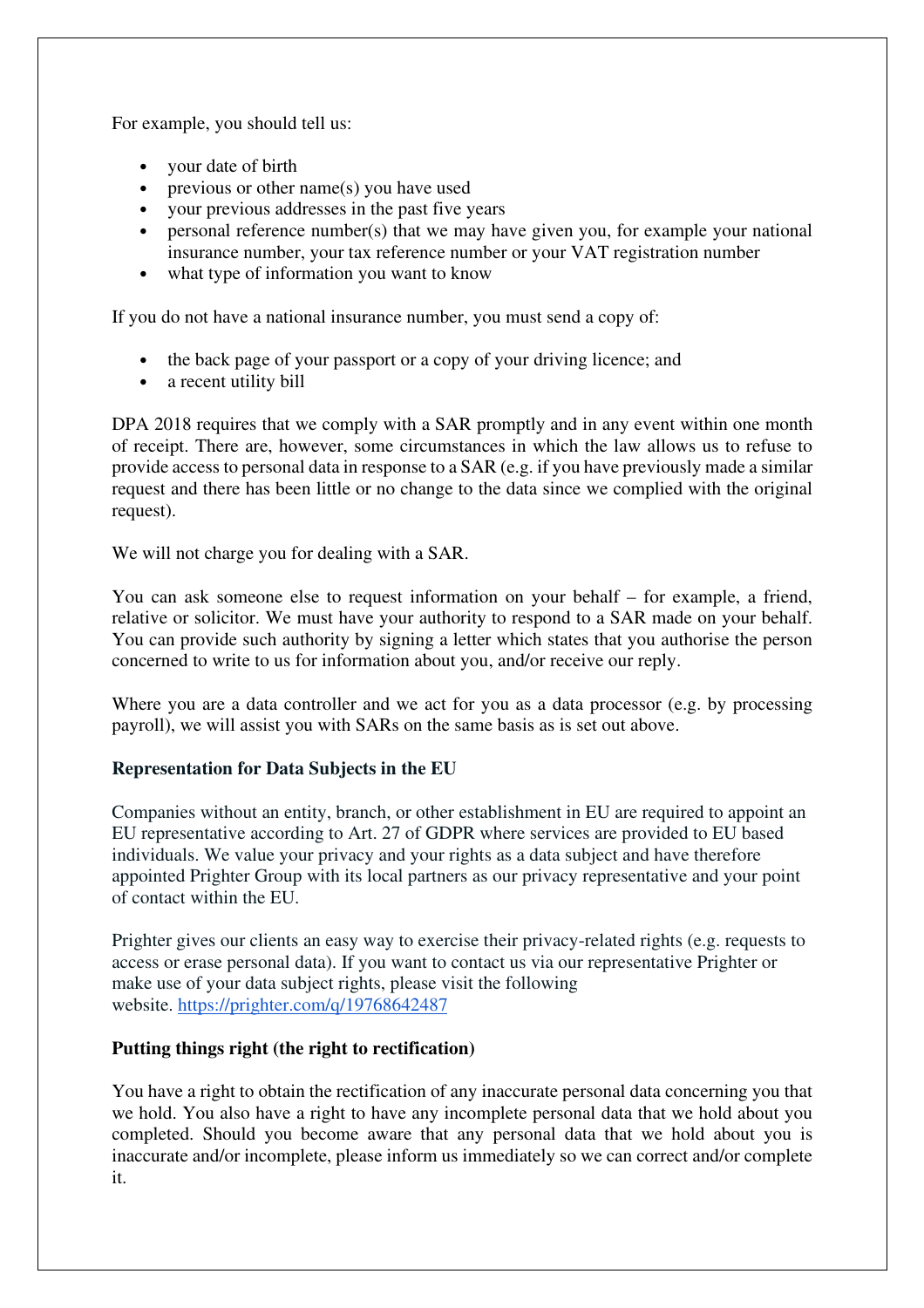For example, you should tell us:

- your date of birth
- previous or other name(s) you have used
- your previous addresses in the past five years
- personal reference number(s) that we may have given you, for example your national insurance number, your tax reference number or your VAT registration number
- what type of information you want to know

If you do not have a national insurance number, you must send a copy of:

- the back page of your passport or a copy of your driving licence; and
- a recent utility bill

DPA 2018 requires that we comply with a SAR promptly and in any event within one month of receipt. There are, however, some circumstances in which the law allows us to refuse to provide access to personal data in response to a SAR (e.g. if you have previously made a similar request and there has been little or no change to the data since we complied with the original request).

We will not charge you for dealing with a SAR.

You can ask someone else to request information on your behalf – for example, a friend, relative or solicitor. We must have your authority to respond to a SAR made on your behalf. You can provide such authority by signing a letter which states that you authorise the person concerned to write to us for information about you, and/or receive our reply.

Where you are a data controller and we act for you as a data processor (e.g. by processing payroll), we will assist you with SARs on the same basis as is set out above.

# **Representation for Data Subjects in the EU**

Companies without an entity, branch, or other establishment in EU are required to appoint an EU representative according to Art. 27 of GDPR where services are provided to EU based individuals. We value your privacy and your rights as a data subject and have therefore appointed Prighter Group with its local partners as our privacy representative and your point of contact within the EU.

Prighter gives our clients an easy way to exercise their privacy-related rights (e.g. requests to access or erase personal data). If you want to contact us via our representative Prighter or make use of your data subject rights, please visit the following website. https://prighter.com/q/19768642487

### **Putting things right (the right to rectification)**

You have a right to obtain the rectification of any inaccurate personal data concerning you that we hold. You also have a right to have any incomplete personal data that we hold about you completed. Should you become aware that any personal data that we hold about you is inaccurate and/or incomplete, please inform us immediately so we can correct and/or complete it.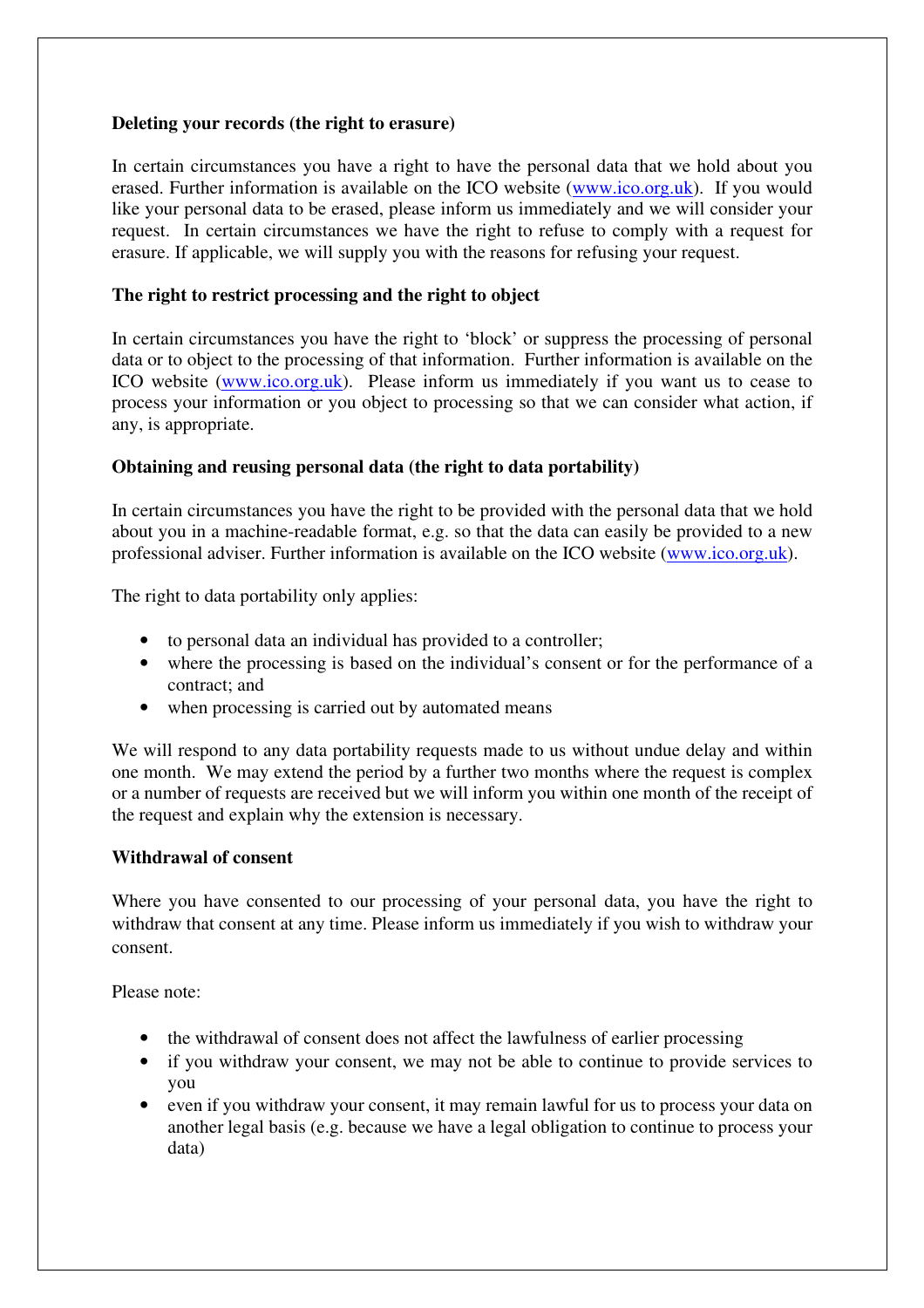## **Deleting your records (the right to erasure)**

In certain circumstances you have a right to have the personal data that we hold about you erased. Further information is available on the ICO website (www.ico.org.uk). If you would like your personal data to be erased, please inform us immediately and we will consider your request. In certain circumstances we have the right to refuse to comply with a request for erasure. If applicable, we will supply you with the reasons for refusing your request.

## **The right to restrict processing and the right to object**

In certain circumstances you have the right to 'block' or suppress the processing of personal data or to object to the processing of that information. Further information is available on the ICO website (www.ico.org.uk). Please inform us immediately if you want us to cease to process your information or you object to processing so that we can consider what action, if any, is appropriate.

## **Obtaining and reusing personal data (the right to data portability)**

In certain circumstances you have the right to be provided with the personal data that we hold about you in a machine-readable format, e.g. so that the data can easily be provided to a new professional adviser. Further information is available on the ICO website (www.ico.org.uk).

The right to data portability only applies:

- to personal data an individual has provided to a controller;
- where the processing is based on the individual's consent or for the performance of a contract; and
- when processing is carried out by automated means

We will respond to any data portability requests made to us without undue delay and within one month. We may extend the period by a further two months where the request is complex or a number of requests are received but we will inform you within one month of the receipt of the request and explain why the extension is necessary.

### **Withdrawal of consent**

Where you have consented to our processing of your personal data, you have the right to withdraw that consent at any time. Please inform us immediately if you wish to withdraw your consent.

Please note:

- the withdrawal of consent does not affect the lawfulness of earlier processing
- if you withdraw your consent, we may not be able to continue to provide services to you
- even if you withdraw your consent, it may remain lawful for us to process your data on another legal basis (e.g. because we have a legal obligation to continue to process your data)